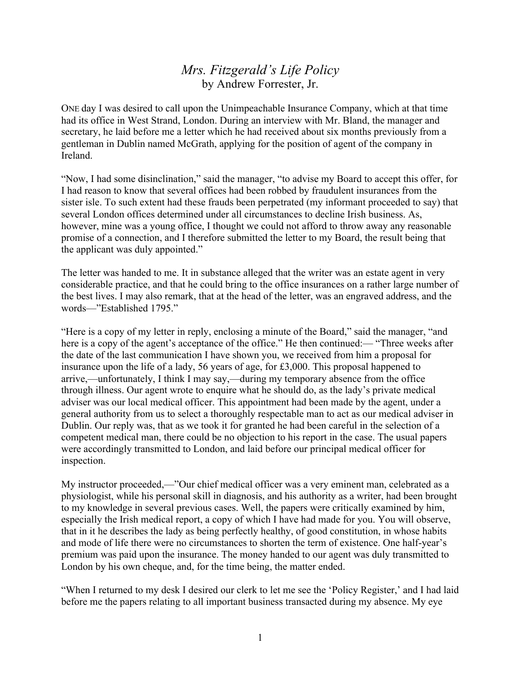## *Mrs. Fitzgerald's Life Policy* by Andrew Forrester, Jr.

ONE day I was desired to call upon the Unimpeachable Insurance Company, which at that time had its office in West Strand, London. During an interview with Mr. Bland, the manager and secretary, he laid before me a letter which he had received about six months previously from a gentleman in Dublin named McGrath, applying for the position of agent of the company in Ireland.

"Now, I had some disinclination," said the manager, "to advise my Board to accept this offer, for I had reason to know that several offices had been robbed by fraudulent insurances from the sister isle. To such extent had these frauds been perpetrated (my informant proceeded to say) that several London offices determined under all circumstances to decline Irish business. As, however, mine was a young office, I thought we could not afford to throw away any reasonable promise of a connection, and I therefore submitted the letter to my Board, the result being that the applicant was duly appointed."

The letter was handed to me. It in substance alleged that the writer was an estate agent in very considerable practice, and that he could bring to the office insurances on a rather large number of the best lives. I may also remark, that at the head of the letter, was an engraved address, and the words—"Established 1795."

"Here is a copy of my letter in reply, enclosing a minute of the Board," said the manager, "and here is a copy of the agent's acceptance of the office." He then continued:— "Three weeks after the date of the last communication I have shown you, we received from him a proposal for insurance upon the life of a lady, 56 years of age, for £3,000. This proposal happened to arrive,—unfortunately, I think I may say,—during my temporary absence from the office through illness. Our agent wrote to enquire what he should do, as the lady's private medical adviser was our local medical officer. This appointment had been made by the agent, under a general authority from us to select a thoroughly respectable man to act as our medical adviser in Dublin. Our reply was, that as we took it for granted he had been careful in the selection of a competent medical man, there could be no objection to his report in the case. The usual papers were accordingly transmitted to London, and laid before our principal medical officer for inspection.

My instructor proceeded,—"Our chief medical officer was a very eminent man, celebrated as a physiologist, while his personal skill in diagnosis, and his authority as a writer, had been brought to my knowledge in several previous cases. Well, the papers were critically examined by him, especially the Irish medical report, a copy of which I have had made for you. You will observe, that in it he describes the lady as being perfectly healthy, of good constitution, in whose habits and mode of life there were no circumstances to shorten the term of existence. One half-year's premium was paid upon the insurance. The money handed to our agent was duly transmitted to London by his own cheque, and, for the time being, the matter ended.

"When I returned to my desk I desired our clerk to let me see the 'Policy Register,' and I had laid before me the papers relating to all important business transacted during my absence. My eye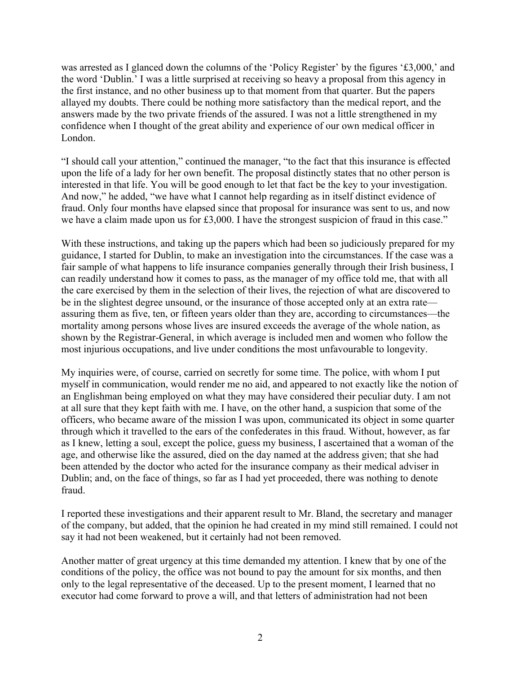was arrested as I glanced down the columns of the 'Policy Register' by the figures '£3,000,' and the word 'Dublin.' I was a little surprised at receiving so heavy a proposal from this agency in the first instance, and no other business up to that moment from that quarter. But the papers allayed my doubts. There could be nothing more satisfactory than the medical report, and the answers made by the two private friends of the assured. I was not a little strengthened in my confidence when I thought of the great ability and experience of our own medical officer in London.

"I should call your attention," continued the manager, "to the fact that this insurance is effected upon the life of a lady for her own benefit. The proposal distinctly states that no other person is interested in that life. You will be good enough to let that fact be the key to your investigation. And now," he added, "we have what I cannot help regarding as in itself distinct evidence of fraud. Only four months have elapsed since that proposal for insurance was sent to us, and now we have a claim made upon us for £3,000. I have the strongest suspicion of fraud in this case."

With these instructions, and taking up the papers which had been so judiciously prepared for my guidance, I started for Dublin, to make an investigation into the circumstances. If the case was a fair sample of what happens to life insurance companies generally through their Irish business, I can readily understand how it comes to pass, as the manager of my office told me, that with all the care exercised by them in the selection of their lives, the rejection of what are discovered to be in the slightest degree unsound, or the insurance of those accepted only at an extra rate assuring them as five, ten, or fifteen years older than they are, according to circumstances—the mortality among persons whose lives are insured exceeds the average of the whole nation, as shown by the Registrar-General, in which average is included men and women who follow the most injurious occupations, and live under conditions the most unfavourable to longevity.

My inquiries were, of course, carried on secretly for some time. The police, with whom I put myself in communication, would render me no aid, and appeared to not exactly like the notion of an Englishman being employed on what they may have considered their peculiar duty. I am not at all sure that they kept faith with me. I have, on the other hand, a suspicion that some of the officers, who became aware of the mission I was upon, communicated its object in some quarter through which it travelled to the ears of the confederates in this fraud. Without, however, as far as I knew, letting a soul, except the police, guess my business, I ascertained that a woman of the age, and otherwise like the assured, died on the day named at the address given; that she had been attended by the doctor who acted for the insurance company as their medical adviser in Dublin; and, on the face of things, so far as I had yet proceeded, there was nothing to denote fraud.

I reported these investigations and their apparent result to Mr. Bland, the secretary and manager of the company, but added, that the opinion he had created in my mind still remained. I could not say it had not been weakened, but it certainly had not been removed.

Another matter of great urgency at this time demanded my attention. I knew that by one of the conditions of the policy, the office was not bound to pay the amount for six months, and then only to the legal representative of the deceased. Up to the present moment, I learned that no executor had come forward to prove a will, and that letters of administration had not been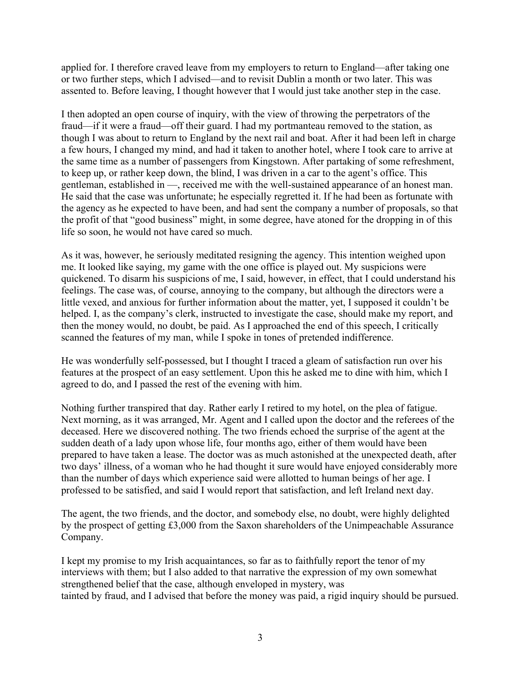applied for. I therefore craved leave from my employers to return to England—after taking one or two further steps, which I advised—and to revisit Dublin a month or two later. This was assented to. Before leaving, I thought however that I would just take another step in the case.

I then adopted an open course of inquiry, with the view of throwing the perpetrators of the fraud—if it were a fraud—off their guard. I had my portmanteau removed to the station, as though I was about to return to England by the next rail and boat. After it had been left in charge a few hours, I changed my mind, and had it taken to another hotel, where I took care to arrive at the same time as a number of passengers from Kingstown. After partaking of some refreshment, to keep up, or rather keep down, the blind, I was driven in a car to the agent's office. This gentleman, established in —, received me with the well-sustained appearance of an honest man. He said that the case was unfortunate; he especially regretted it. If he had been as fortunate with the agency as he expected to have been, and had sent the company a number of proposals, so that the profit of that "good business" might, in some degree, have atoned for the dropping in of this life so soon, he would not have cared so much.

As it was, however, he seriously meditated resigning the agency. This intention weighed upon me. It looked like saying, my game with the one office is played out. My suspicions were quickened. To disarm his suspicions of me, I said, however, in effect, that I could understand his feelings. The case was, of course, annoying to the company, but although the directors were a little vexed, and anxious for further information about the matter, yet, I supposed it couldn't be helped. I, as the company's clerk, instructed to investigate the case, should make my report, and then the money would, no doubt, be paid. As I approached the end of this speech, I critically scanned the features of my man, while I spoke in tones of pretended indifference.

He was wonderfully self-possessed, but I thought I traced a gleam of satisfaction run over his features at the prospect of an easy settlement. Upon this he asked me to dine with him, which I agreed to do, and I passed the rest of the evening with him.

Nothing further transpired that day. Rather early I retired to my hotel, on the plea of fatigue. Next morning, as it was arranged, Mr. Agent and I called upon the doctor and the referees of the deceased. Here we discovered nothing. The two friends echoed the surprise of the agent at the sudden death of a lady upon whose life, four months ago, either of them would have been prepared to have taken a lease. The doctor was as much astonished at the unexpected death, after two days' illness, of a woman who he had thought it sure would have enjoyed considerably more than the number of days which experience said were allotted to human beings of her age. I professed to be satisfied, and said I would report that satisfaction, and left Ireland next day.

The agent, the two friends, and the doctor, and somebody else, no doubt, were highly delighted by the prospect of getting £3,000 from the Saxon shareholders of the Unimpeachable Assurance Company.

I kept my promise to my Irish acquaintances, so far as to faithfully report the tenor of my interviews with them; but I also added to that narrative the expression of my own somewhat strengthened belief that the case, although enveloped in mystery, was tainted by fraud, and I advised that before the money was paid, a rigid inquiry should be pursued.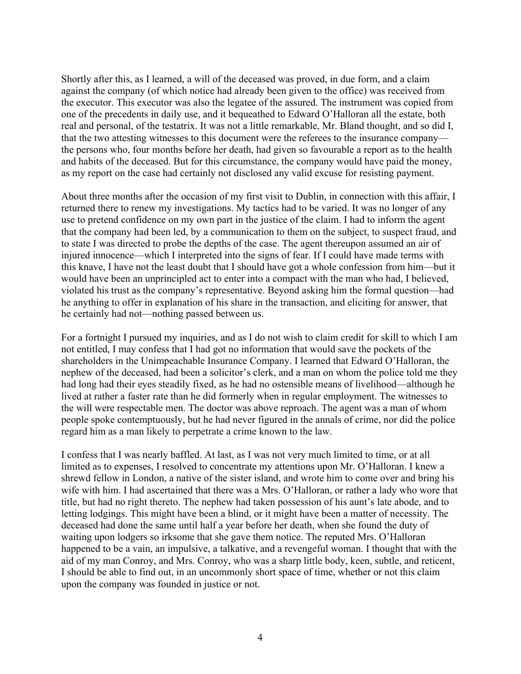Shortly after this, as I learned, a will of the deceased was proved, in due form, and a claim against the company (of which notice had already been given to the office) was received from the executor. This executor was also the legatee of the assured. The instrument was copied from one of the precedents in daily use, and it bequeathed to Edward O'Halloran all the estate, both real and personal, of the testatrix. It was not a little remarkable, Mr. Bland thought, and so did I, that the two attesting witnesses to this document were the referees to the insurance company the persons who, four months before her death, had given so favourable a report as to the health and habits of the deceased. But for this circumstance, the company would have paid the money, as my report on the case had certainly not disclosed any valid excuse for resisting payment.

About three months after the occasion of my first visit to Dublin, in connection with this affair, I returned there to renew my investigations. My tactics had to be varied. It was no longer of any use to pretend confidence on my own part in the justice of the claim. I had to inform the agent that the company had been led, by a communication to them on the subject, to suspect fraud, and to state I was directed to probe the depths of the case. The agent thereupon assumed an air of injured innocence—which I interpreted into the signs of fear. If I could have made terms with this knave, I have not the least doubt that I should have got a whole confession from him—but it would have been an unprincipled act to enter into a compact with the man who had, I believed, violated his trust as the company's representative. Beyond asking him the formal question—had he anything to offer in explanation of his share in the transaction, and eliciting for answer, that he certainly had not—nothing passed between us.

For a fortnight I pursued my inquiries, and as I do not wish to claim credit for skill to which I am not entitled, I may confess that I had got no information that would save the pockets of the shareholders in the Unimpeachable Insurance Company. I learned that Edward O'Halloran, the nephew of the deceased, had been a solicitor's clerk, and a man on whom the police told me they had long had their eyes steadily fixed, as he had no ostensible means of livelihood—although he lived at rather a faster rate than he did formerly when in regular employment. The witnesses to the will were respectable men. The doctor was above reproach. The agent was a man of whom people spoke contemptuously, but he had never figured in the annals of crime, nor did the police regard him as a man likely to perpetrate a crime known to the law.

I confess that I was nearly baffled. At last, as I was not very much limited to time, or at all limited as to expenses, I resolved to concentrate my attentions upon Mr. O'Halloran. I knew a shrewd fellow in London, a native of the sister island, and wrote him to come over and bring his wife with him. I had ascertained that there was a Mrs. O'Halloran, or rather a lady who wore that title, but had no right thereto. The nephew had taken possession of his aunt's late abode, and to letting lodgings. This might have been a blind, or it might have been a matter of necessity. The deceased had done the same until half a year before her death, when she found the duty of waiting upon lodgers so irksome that she gave them notice. The reputed Mrs. O'Halloran happened to be a vain, an impulsive, a talkative, and a revengeful woman. I thought that with the aid of my man Conroy, and Mrs. Conroy, who was a sharp little body, keen, subtle, and reticent, I should be able to find out, in an uncommonly short space of time, whether or not this claim upon the company was founded in justice or not.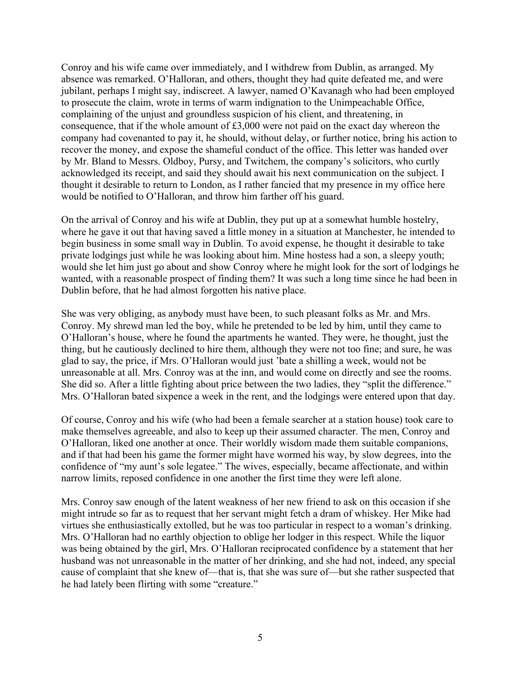Conroy and his wife came over immediately, and I withdrew from Dublin, as arranged. My absence was remarked. O'Halloran, and others, thought they had quite defeated me, and were jubilant, perhaps I might say, indiscreet. A lawyer, named O'Kavanagh who had been employed to prosecute the claim, wrote in terms of warm indignation to the Unimpeachable Office, complaining of the unjust and groundless suspicion of his client, and threatening, in consequence, that if the whole amount of £3,000 were not paid on the exact day whereon the company had covenanted to pay it, he should, without delay, or further notice, bring his action to recover the money, and expose the shameful conduct of the office. This letter was handed over by Mr. Bland to Messrs. Oldboy, Pursy, and Twitchem, the company's solicitors, who curtly acknowledged its receipt, and said they should await his next communication on the subject. I thought it desirable to return to London, as I rather fancied that my presence in my office here would be notified to O'Halloran, and throw him farther off his guard.

On the arrival of Conroy and his wife at Dublin, they put up at a somewhat humble hostelry, where he gave it out that having saved a little money in a situation at Manchester, he intended to begin business in some small way in Dublin. To avoid expense, he thought it desirable to take private lodgings just while he was looking about him. Mine hostess had a son, a sleepy youth; would she let him just go about and show Conroy where he might look for the sort of lodgings he wanted, with a reasonable prospect of finding them? It was such a long time since he had been in Dublin before, that he had almost forgotten his native place.

She was very obliging, as anybody must have been, to such pleasant folks as Mr. and Mrs. Conroy. My shrewd man led the boy, while he pretended to be led by him, until they came to O'Halloran's house, where he found the apartments he wanted. They were, he thought, just the thing, but he cautiously declined to hire them, although they were not too fine; and sure, he was glad to say, the price, if Mrs. O'Halloran would just 'bate a shilling a week, would not be unreasonable at all. Mrs. Conroy was at the inn, and would come on directly and see the rooms. She did so. After a little fighting about price between the two ladies, they "split the difference." Mrs. O'Halloran bated sixpence a week in the rent, and the lodgings were entered upon that day.

Of course, Conroy and his wife (who had been a female searcher at a station house) took care to make themselves agreeable, and also to keep up their assumed character. The men, Conroy and O'Halloran, liked one another at once. Their worldly wisdom made them suitable companions, and if that had been his game the former might have wormed his way, by slow degrees, into the confidence of "my aunt's sole legatee." The wives, especially, became affectionate, and within narrow limits, reposed confidence in one another the first time they were left alone.

Mrs. Conroy saw enough of the latent weakness of her new friend to ask on this occasion if she might intrude so far as to request that her servant might fetch a dram of whiskey. Her Mike had virtues she enthusiastically extolled, but he was too particular in respect to a woman's drinking. Mrs. O'Halloran had no earthly objection to oblige her lodger in this respect. While the liquor was being obtained by the girl, Mrs. O'Halloran reciprocated confidence by a statement that her husband was not unreasonable in the matter of her drinking, and she had not, indeed, any special cause of complaint that she knew of—that is, that she was sure of—but she rather suspected that he had lately been flirting with some "creature."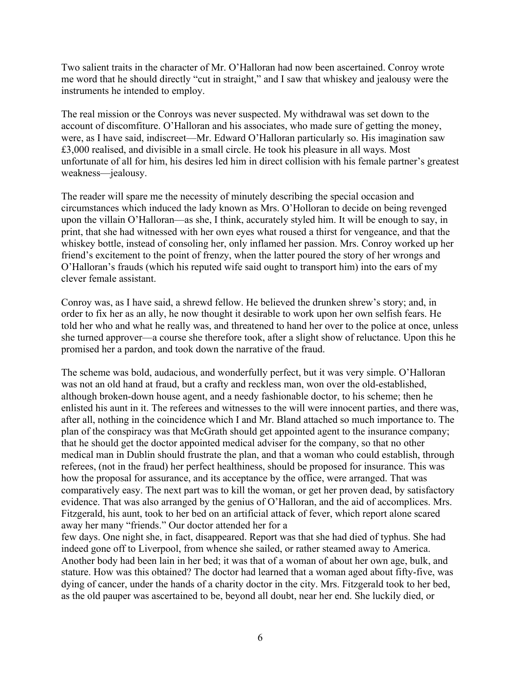Two salient traits in the character of Mr. O'Halloran had now been ascertained. Conroy wrote me word that he should directly "cut in straight," and I saw that whiskey and jealousy were the instruments he intended to employ.

The real mission or the Conroys was never suspected. My withdrawal was set down to the account of discomfiture. O'Halloran and his associates, who made sure of getting the money, were, as I have said, indiscreet—Mr. Edward O'Halloran particularly so. His imagination saw £3,000 realised, and divisible in a small circle. He took his pleasure in all ways. Most unfortunate of all for him, his desires led him in direct collision with his female partner's greatest weakness—jealousy.

The reader will spare me the necessity of minutely describing the special occasion and circumstances which induced the lady known as Mrs. O'Holloran to decide on being revenged upon the villain O'Halloran—as she, I think, accurately styled him. It will be enough to say, in print, that she had witnessed with her own eyes what roused a thirst for vengeance, and that the whiskey bottle, instead of consoling her, only inflamed her passion. Mrs. Conroy worked up her friend's excitement to the point of frenzy, when the latter poured the story of her wrongs and O'Halloran's frauds (which his reputed wife said ought to transport him) into the ears of my clever female assistant.

Conroy was, as I have said, a shrewd fellow. He believed the drunken shrew's story; and, in order to fix her as an ally, he now thought it desirable to work upon her own selfish fears. He told her who and what he really was, and threatened to hand her over to the police at once, unless she turned approver—a course she therefore took, after a slight show of reluctance. Upon this he promised her a pardon, and took down the narrative of the fraud.

The scheme was bold, audacious, and wonderfully perfect, but it was very simple. O'Halloran was not an old hand at fraud, but a crafty and reckless man, won over the old-established, although broken-down house agent, and a needy fashionable doctor, to his scheme; then he enlisted his aunt in it. The referees and witnesses to the will were innocent parties, and there was, after all, nothing in the coincidence which I and Mr. Bland attached so much importance to. The plan of the conspiracy was that McGrath should get appointed agent to the insurance company; that he should get the doctor appointed medical adviser for the company, so that no other medical man in Dublin should frustrate the plan, and that a woman who could establish, through referees, (not in the fraud) her perfect healthiness, should be proposed for insurance. This was how the proposal for assurance, and its acceptance by the office, were arranged. That was comparatively easy. The next part was to kill the woman, or get her proven dead, by satisfactory evidence. That was also arranged by the genius of O'Halloran, and the aid of accomplices. Mrs. Fitzgerald, his aunt, took to her bed on an artificial attack of fever, which report alone scared away her many "friends." Our doctor attended her for a

few days. One night she, in fact, disappeared. Report was that she had died of typhus. She had indeed gone off to Liverpool, from whence she sailed, or rather steamed away to America. Another body had been lain in her bed; it was that of a woman of about her own age, bulk, and stature. How was this obtained? The doctor had learned that a woman aged about fifty-five, was dying of cancer, under the hands of a charity doctor in the city. Mrs. Fitzgerald took to her bed, as the old pauper was ascertained to be, beyond all doubt, near her end. She luckily died, or